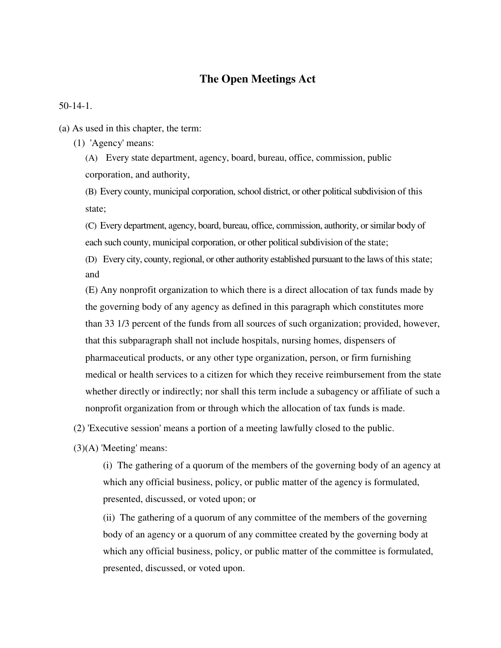# **The Open Meetings Act**

50-14-1.

- (a) As used in this chapter, the term:
	- (1) 'Agency' means:

(A) Every state department, agency, board, bureau, office, commission, public corporation, and authority,

(B) Every county, municipal corporation, school district, or other political subdivision of this state;

(C) Every department, agency, board, bureau, office, commission, authority, or similar body of each such county, municipal corporation, or other political subdivision of the state;

(D) Every city, county, regional, or other authority established pursuant to the laws of this state; and

(E) Any nonprofit organization to which there is a direct allocation of tax funds made by the governing body of any agency as defined in this paragraph which constitutes more than 33 1/3 percent of the funds from all sources of such organization; provided, however, that this subparagraph shall not include hospitals, nursing homes, dispensers of pharmaceutical products, or any other type organization, person, or firm furnishing medical or health services to a citizen for which they receive reimbursement from the state whether directly or indirectly; nor shall this term include a subagency or affiliate of such a nonprofit organization from or through which the allocation of tax funds is made.

(2) 'Executive session' means a portion of a meeting lawfully closed to the public.

(3)(A) 'Meeting' means:

(i) The gathering of a quorum of the members of the governing body of an agency at which any official business, policy, or public matter of the agency is formulated, presented, discussed, or voted upon; or

(ii) The gathering of a quorum of any committee of the members of the governing body of an agency or a quorum of any committee created by the governing body at which any official business, policy, or public matter of the committee is formulated, presented, discussed, or voted upon.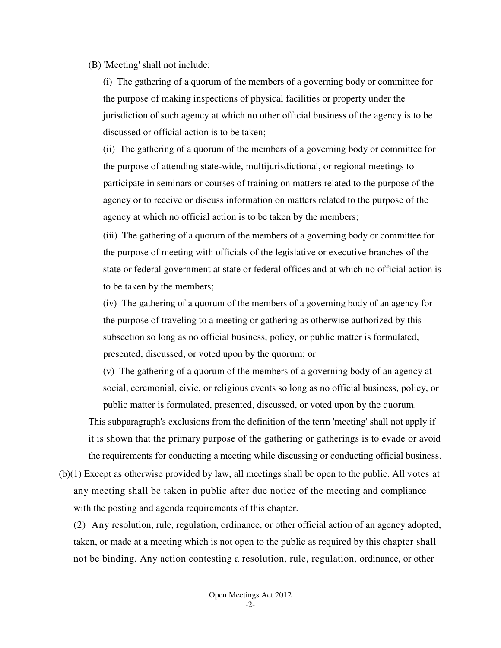### (B) 'Meeting' shall not include:

(i) The gathering of a quorum of the members of a governing body or committee for the purpose of making inspections of physical facilities or property under the jurisdiction of such agency at which no other official business of the agency is to be discussed or official action is to be taken;

(ii) The gathering of a quorum of the members of a governing body or committee for the purpose of attending state-wide, multijurisdictional, or regional meetings to participate in seminars or courses of training on matters related to the purpose of the agency or to receive or discuss information on matters related to the purpose of the agency at which no official action is to be taken by the members;

(iii) The gathering of a quorum of the members of a governing body or committee for the purpose of meeting with officials of the legislative or executive branches of the state or federal government at state or federal offices and at which no official action is to be taken by the members;

(iv) The gathering of a quorum of the members of a governing body of an agency for the purpose of traveling to a meeting or gathering as otherwise authorized by this subsection so long as no official business, policy, or public matter is formulated, presented, discussed, or voted upon by the quorum; or

(v) The gathering of a quorum of the members of a governing body of an agency at social, ceremonial, civic, or religious events so long as no official business, policy, or public matter is formulated, presented, discussed, or voted upon by the quorum.

This subparagraph's exclusions from the definition of the term 'meeting' shall not apply if it is shown that the primary purpose of the gathering or gatherings is to evade or avoid the requirements for conducting a meeting while discussing or conducting official business.

(b)(1) Except as otherwise provided by law, all meetings shall be open to the public. All votes at any meeting shall be taken in public after due notice of the meeting and compliance with the posting and agenda requirements of this chapter.

(2) Any resolution, rule, regulation, ordinance, or other official action of an agency adopted, taken, or made at a meeting which is not open to the public as required by this chapter shall not be binding. Any action contesting a resolution, rule, regulation, ordinance, or other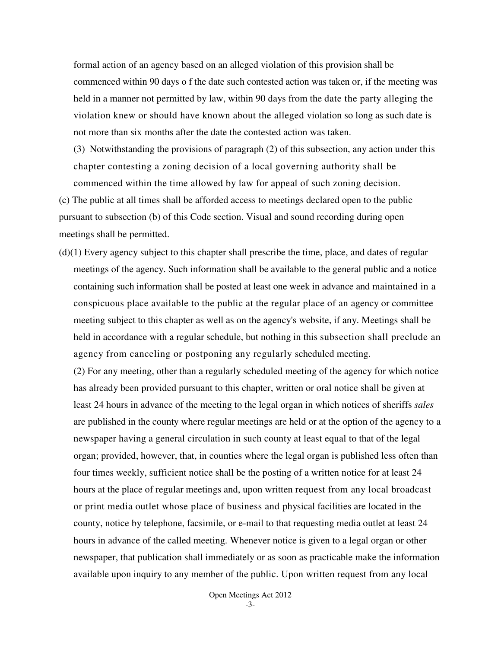formal action of an agency based on an alleged violation of this provision shall be commenced within 90 days o f the date such contested action was taken or, if the meeting was held in a manner not permitted by law, within 90 days from the date the party alleging the violation knew or should have known about the alleged violation so long as such date is not more than six months after the date the contested action was taken.

(3) Notwithstanding the provisions of paragraph (2) of this subsection, any action under this chapter contesting a zoning decision of a local governing authority shall be commenced within the time allowed by law for appeal of such zoning decision.

(c) The public at all times shall be afforded access to meetings declared open to the public pursuant to subsection (b) of this Code section. Visual and sound recording during open meetings shall be permitted.

(d)(1) Every agency subject to this chapter shall prescribe the time, place, and dates of regular meetings of the agency. Such information shall be available to the general public and a notice containing such information shall be posted at least one week in advance and maintained in a conspicuous place available to the public at the regular place of an agency or committee meeting subject to this chapter as well as on the agency's website, if any. Meetings shall be held in accordance with a regular schedule, but nothing in this subsection shall preclude an agency from canceling or postponing any regularly scheduled meeting.

(2) For any meeting, other than a regularly scheduled meeting of the agency for which notice has already been provided pursuant to this chapter, written or oral notice shall be given at least 24 hours in advance of the meeting to the legal organ in which notices of sheriffs *sales*  are published in the county where regular meetings are held or at the option of the agency to a newspaper having a general circulation in such county at least equal to that of the legal organ; provided, however, that, in counties where the legal organ is published less often than four times weekly, sufficient notice shall be the posting of a written notice for at least 24 hours at the place of regular meetings and, upon written request from any local broadcast or print media outlet whose place of business and physical facilities are located in the county, notice by telephone, facsimile, or e-mail to that requesting media outlet at least 24 hours in advance of the called meeting. Whenever notice is given to a legal organ or other newspaper, that publication shall immediately or as soon as practicable make the information available upon inquiry to any member of the public. Upon written request from any local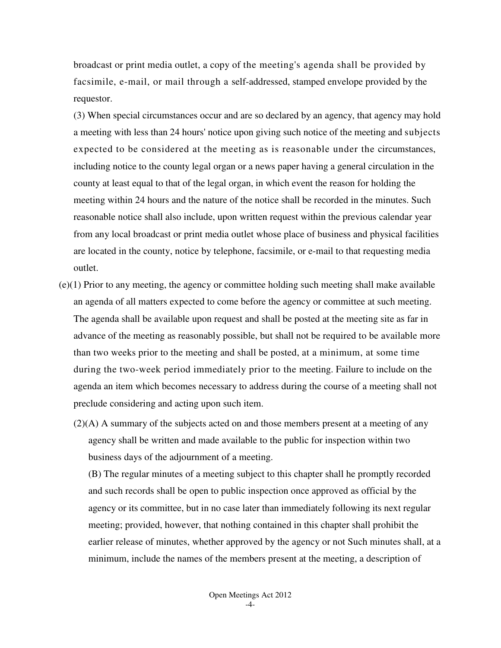broadcast or print media outlet, a copy of the meeting's agenda shall be provided by facsimile, e-mail, or mail through a self-addressed, stamped envelope provided by the requestor.

(3) When special circumstances occur and are so declared by an agency, that agency may hold a meeting with less than 24 hours' notice upon giving such notice of the meeting and subjects expected to be considered at the meeting as is reasonable under the circumstances, including notice to the county legal organ or a news paper having a general circulation in the county at least equal to that of the legal organ, in which event the reason for holding the meeting within 24 hours and the nature of the notice shall be recorded in the minutes. Such reasonable notice shall also include, upon written request within the previous calendar year from any local broadcast or print media outlet whose place of business and physical facilities are located in the county, notice by telephone, facsimile, or e-mail to that requesting media outlet.

- (e)(1) Prior to any meeting, the agency or committee holding such meeting shall make available an agenda of all matters expected to come before the agency or committee at such meeting. The agenda shall be available upon request and shall be posted at the meeting site as far in advance of the meeting as reasonably possible, but shall not be required to be available more than two weeks prior to the meeting and shall be posted, at a minimum, at some time during the two-week period immediately prior to the meeting. Failure to include on the agenda an item which becomes necessary to address during the course of a meeting shall not preclude considering and acting upon such item.
	- $(2)(A)$  A summary of the subjects acted on and those members present at a meeting of any agency shall be written and made available to the public for inspection within two business days of the adjournment of a meeting.

(B) The regular minutes of a meeting subject to this chapter shall he promptly recorded and such records shall be open to public inspection once approved as official by the agency or its committee, but in no case later than immediately following its next regular meeting; provided, however, that nothing contained in this chapter shall prohibit the earlier release of minutes, whether approved by the agency or not Such minutes shall, at a minimum, include the names of the members present at the meeting, a description of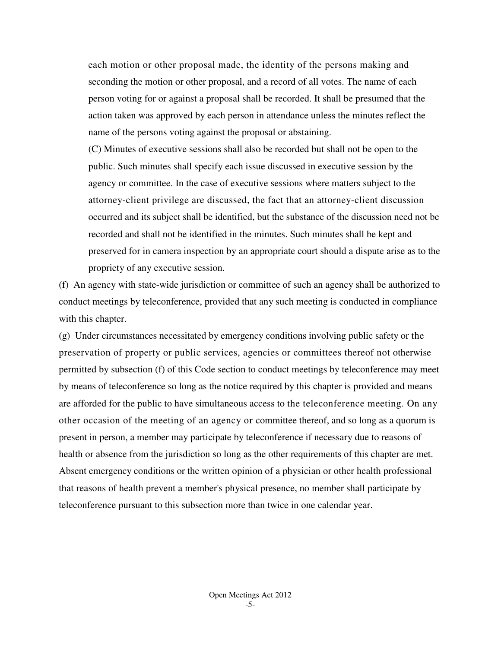each motion or other proposal made, the identity of the persons making and seconding the motion or other proposal, and a record of all votes. The name of each person voting for or against a proposal shall be recorded. It shall be presumed that the action taken was approved by each person in attendance unless the minutes reflect the name of the persons voting against the proposal or abstaining.

(C) Minutes of executive sessions shall also be recorded but shall not be open to the public. Such minutes shall specify each issue discussed in executive session by the agency or committee. In the case of executive sessions where matters subject to the attorney-client privilege are discussed, the fact that an attorney-client discussion occurred and its subject shall be identified, but the substance of the discussion need not be recorded and shall not be identified in the minutes. Such minutes shall be kept and preserved for in camera inspection by an appropriate court should a dispute arise as to the propriety of any executive session.

(f) An agency with state-wide jurisdiction or committee of such an agency shall be authorized to conduct meetings by teleconference, provided that any such meeting is conducted in compliance with this chapter.

(g) Under circumstances necessitated by emergency conditions involving public safety or the preservation of property or public services, agencies or committees thereof not otherwise permitted by subsection (f) of this Code section to conduct meetings by teleconference may meet by means of teleconference so long as the notice required by this chapter is provided and means are afforded for the public to have simultaneous access to the teleconference meeting. On any other occasion of the meeting of an agency or committee thereof, and so long as a quorum is present in person, a member may participate by teleconference if necessary due to reasons of health or absence from the jurisdiction so long as the other requirements of this chapter are met. Absent emergency conditions or the written opinion of a physician or other health professional that reasons of health prevent a member's physical presence, no member shall participate by teleconference pursuant to this subsection more than twice in one calendar year.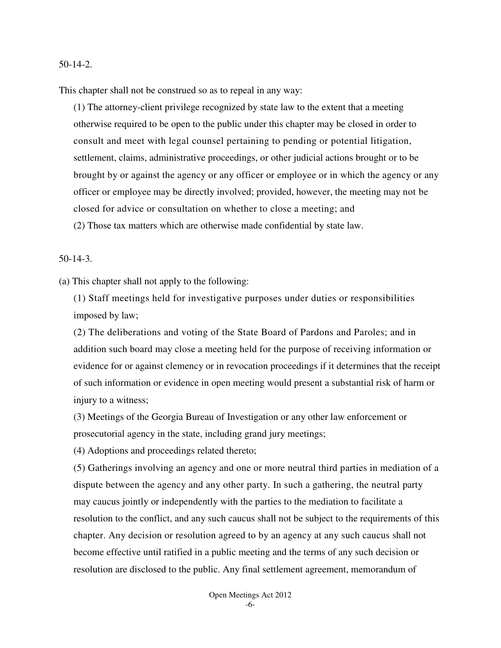#### 50-14-2.

This chapter shall not be construed so as to repeal in any way:

(1) The attorney-client privilege recognized by state law to the extent that a meeting otherwise required to be open to the public under this chapter may be closed in order to consult and meet with legal counsel pertaining to pending or potential litigation, settlement, claims, administrative proceedings, or other judicial actions brought or to be brought by or against the agency or any officer or employee or in which the agency or any officer or employee may be directly involved; provided, however, the meeting may not be closed for advice or consultation on whether to close a meeting; and (2) Those tax matters which are otherwise made confidential by state law.

50-14-3.

(a) This chapter shall not apply to the following:

(1) Staff meetings held for investigative purposes under duties or responsibilities imposed by law;

(2) The deliberations and voting of the State Board of Pardons and Paroles; and in addition such board may close a meeting held for the purpose of receiving information or evidence for or against clemency or in revocation proceedings if it determines that the receipt of such information or evidence in open meeting would present a substantial risk of harm or injury to a witness;

(3) Meetings of the Georgia Bureau of Investigation or any other law enforcement or prosecutorial agency in the state, including grand jury meetings;

(4) Adoptions and proceedings related thereto;

(5) Gatherings involving an agency and one or more neutral third parties in mediation of a dispute between the agency and any other party. In such a gathering, the neutral party may caucus jointly or independently with the parties to the mediation to facilitate a resolution to the conflict, and any such caucus shall not be subject to the requirements of this chapter. Any decision or resolution agreed to by an agency at any such caucus shall not become effective until ratified in a public meeting and the terms of any such decision or resolution are disclosed to the public. Any final settlement agreement, memorandum of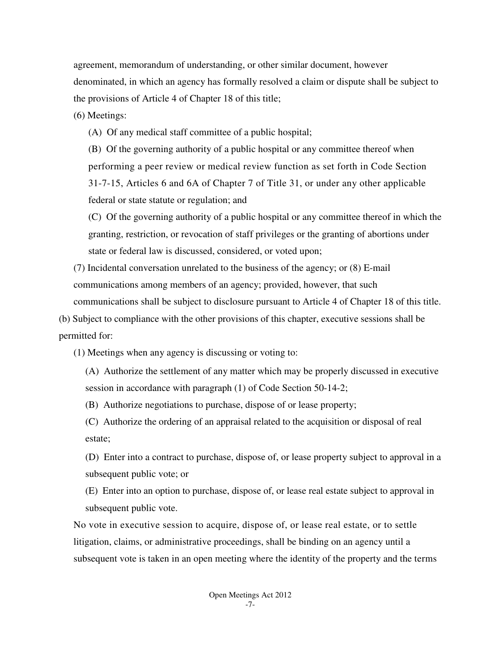agreement, memorandum of understanding, or other similar document, however denominated, in which an agency has formally resolved a claim or dispute shall be subject to the provisions of Article 4 of Chapter 18 of this title;

(6) Meetings:

(A) Of any medical staff committee of a public hospital;

(B) Of the governing authority of a public hospital or any committee thereof when performing a peer review or medical review function as set forth in Code Section 31-7-15, Articles 6 and 6A of Chapter 7 of Title 31, or under any other applicable federal or state statute or regulation; and

(C) Of the governing authority of a public hospital or any committee thereof in which the granting, restriction, or revocation of staff privileges or the granting of abortions under state or federal law is discussed, considered, or voted upon;

(7) Incidental conversation unrelated to the business of the agency; or (8) E-mail communications among members of an agency; provided, however, that such communications shall be subject to disclosure pursuant to Article 4 of Chapter 18 of this title.

(b) Subject to compliance with the other provisions of this chapter, executive sessions shall be permitted for:

(1) Meetings when any agency is discussing or voting to:

(A) Authorize the settlement of any matter which may be properly discussed in executive session in accordance with paragraph (1) of Code Section 50-14-2;

(B) Authorize negotiations to purchase, dispose of or lease property;

(C) Authorize the ordering of an appraisal related to the acquisition or disposal of real estate;

(D) Enter into a contract to purchase, dispose of, or lease property subject to approval in a subsequent public vote; or

(E) Enter into an option to purchase, dispose of, or lease real estate subject to approval in subsequent public vote.

No vote in executive session to acquire, dispose of, or lease real estate, or to settle litigation, claims, or administrative proceedings, shall be binding on an agency until a subsequent vote is taken in an open meeting where the identity of the property and the terms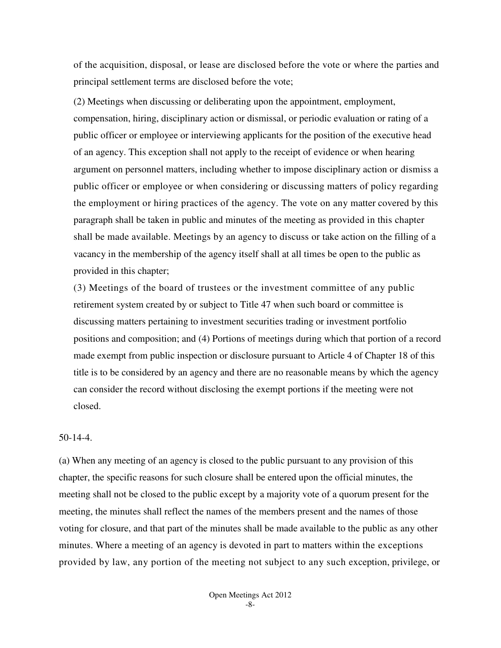of the acquisition, disposal, or lease are disclosed before the vote or where the parties and principal settlement terms are disclosed before the vote;

(2) Meetings when discussing or deliberating upon the appointment, employment, compensation, hiring, disciplinary action or dismissal, or periodic evaluation or rating of a public officer or employee or interviewing applicants for the position of the executive head of an agency. This exception shall not apply to the receipt of evidence or when hearing argument on personnel matters, including whether to impose disciplinary action or dismiss a public officer or employee or when considering or discussing matters of policy regarding the employment or hiring practices of the agency. The vote on any matter covered by this paragraph shall be taken in public and minutes of the meeting as provided in this chapter shall be made available. Meetings by an agency to discuss or take action on the filling of a vacancy in the membership of the agency itself shall at all times be open to the public as provided in this chapter;

(3) Meetings of the board of trustees or the investment committee of any public retirement system created by or subject to Title 47 when such board or committee is discussing matters pertaining to investment securities trading or investment portfolio positions and composition; and (4) Portions of meetings during which that portion of a record made exempt from public inspection or disclosure pursuant to Article 4 of Chapter 18 of this title is to be considered by an agency and there are no reasonable means by which the agency can consider the record without disclosing the exempt portions if the meeting were not closed.

# 50-14-4.

(a) When any meeting of an agency is closed to the public pursuant to any provision of this chapter, the specific reasons for such closure shall be entered upon the official minutes, the meeting shall not be closed to the public except by a majority vote of a quorum present for the meeting, the minutes shall reflect the names of the members present and the names of those voting for closure, and that part of the minutes shall be made available to the public as any other minutes. Where a meeting of an agency is devoted in part to matters within the exceptions provided by law, any portion of the meeting not subject to any such exception, privilege, or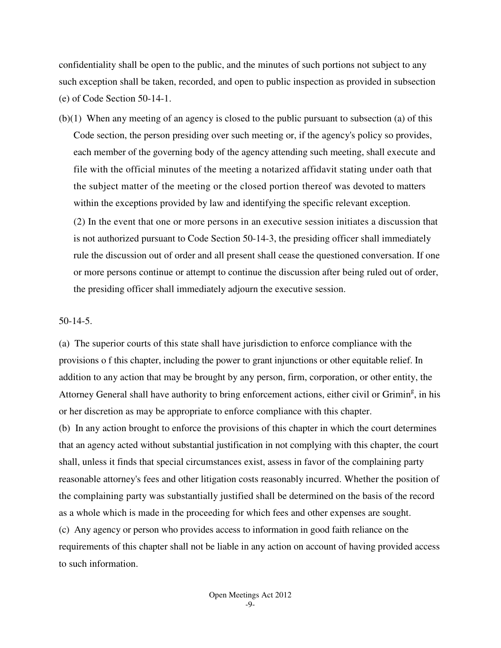confidentiality shall be open to the public, and the minutes of such portions not subject to any such exception shall be taken, recorded, and open to public inspection as provided in subsection (e) of Code Section 50-14-1.

(b)(1) When any meeting of an agency is closed to the public pursuant to subsection (a) of this Code section, the person presiding over such meeting or, if the agency's policy so provides, each member of the governing body of the agency attending such meeting, shall execute and file with the official minutes of the meeting a notarized affidavit stating under oath that the subject matter of the meeting or the closed portion thereof was devoted to matters within the exceptions provided by law and identifying the specific relevant exception. (2) In the event that one or more persons in an executive session initiates a discussion that is not authorized pursuant to Code Section 50-14-3, the presiding officer shall immediately rule the discussion out of order and all present shall cease the questioned conversation. If one or more persons continue or attempt to continue the discussion after being ruled out of order, the presiding officer shall immediately adjourn the executive session.

### 50-14-5.

(a) The superior courts of this state shall have jurisdiction to enforce compliance with the provisions o f this chapter, including the power to grant injunctions or other equitable relief. In addition to any action that may be brought by any person, firm, corporation, or other entity, the Attorney General shall have authority to bring enforcement actions, either civil or Grimin<sup>g</sup>, in his or her discretion as may be appropriate to enforce compliance with this chapter.

(b) In any action brought to enforce the provisions of this chapter in which the court determines that an agency acted without substantial justification in not complying with this chapter, the court shall, unless it finds that special circumstances exist, assess in favor of the complaining party reasonable attorney's fees and other litigation costs reasonably incurred. Whether the position of the complaining party was substantially justified shall be determined on the basis of the record as a whole which is made in the proceeding for which fees and other expenses are sought. (c) Any agency or person who provides access to information in good faith reliance on the requirements of this chapter shall not be liable in any action on account of having provided access to such information.